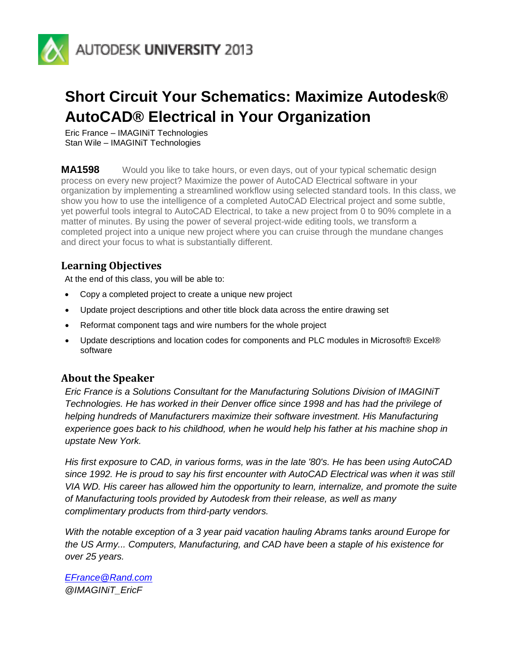

# **Short Circuit Your Schematics: Maximize Autodesk® AutoCAD® Electrical in Your Organization**

Eric France – IMAGINiT Technologies Stan Wile – IMAGINiT Technologies

**MA1598** Would you like to take hours, or even days, out of your typical schematic design process on every new project? Maximize the power of AutoCAD Electrical software in your organization by implementing a streamlined workflow using selected standard tools. In this class, we show you how to use the intelligence of a completed AutoCAD Electrical project and some subtle, yet powerful tools integral to AutoCAD Electrical, to take a new project from 0 to 90% complete in a matter of minutes. By using the power of several project-wide editing tools, we transform a completed project into a unique new project where you can cruise through the mundane changes and direct your focus to what is substantially different.

# **Learning Objectives**

At the end of this class, you will be able to:

- Copy a completed project to create a unique new project
- Update project descriptions and other title block data across the entire drawing set
- Reformat component tags and wire numbers for the whole project
- Update descriptions and location codes for components and PLC modules in Microsoft® Excel® software

# **About the Speaker**

*Eric France is a Solutions Consultant for the Manufacturing Solutions Division of IMAGINiT Technologies. He has worked in their Denver office since 1998 and has had the privilege of helping hundreds of Manufacturers maximize their software investment. His Manufacturing experience goes back to his childhood, when he would help his father at his machine shop in upstate New York.*

*His first exposure to CAD, in various forms, was in the late '80's. He has been using AutoCAD since 1992. He is proud to say his first encounter with AutoCAD Electrical was when it was still VIA WD. His career has allowed him the opportunity to learn, internalize, and promote the suite of Manufacturing tools provided by Autodesk from their release, as well as many complimentary products from third-party vendors.*

*With the notable exception of a 3 year paid vacation hauling Abrams tanks around Europe for the US Army... Computers, Manufacturing, and CAD have been a staple of his existence for over 25 years.*

*[EFrance@Rand.com](mailto:EFrance@Rand.com) @IMAGINiT\_EricF*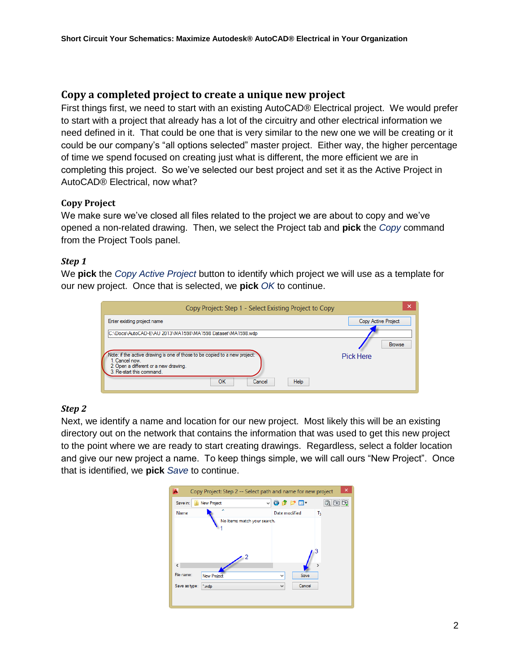## **Copy a completed project to create a unique new project**

First things first, we need to start with an existing AutoCAD® Electrical project. We would prefer to start with a project that already has a lot of the circuitry and other electrical information we need defined in it. That could be one that is very similar to the new one we will be creating or it could be our company's "all options selected" master project. Either way, the higher percentage of time we spend focused on creating just what is different, the more efficient we are in completing this project. So we've selected our best project and set it as the Active Project in AutoCAD® Electrical, now what?

#### **Copy Project**

We make sure we've closed all files related to the project we are about to copy and we've opened a non-related drawing. Then, we select the Project tab and **pick** the *Copy* command from the Project Tools panel.

#### *Step 1*

We **pick** the *Copy Active Project* button to identify which project we will use as a template for our new project. Once that is selected, we **pick** *OK* to continue.

| Copy Project: Step 1 - Select Existing Project to Copy                                       | ×                   |
|----------------------------------------------------------------------------------------------|---------------------|
| Enter existing project name                                                                  | Copy Active Project |
| C:\Docs\AutoCAD-E\AU 2013\MA1598\MA1598 Dataset\MA1598.wdp                                   |                     |
|                                                                                              | <b>Browse</b>       |
| Note: if the active drawing is one of those to be copied to a new project:<br>1. Cancel now. | <b>Pick Here</b>    |
| 2. Open a different or a new drawing.<br>3. Re-start this command.                           |                     |
| <b>Help</b><br>OK<br>Cancel                                                                  |                     |

#### *Step 2*

Next, we identify a name and location for our new project. Most likely this will be an existing directory out on the network that contains the information that was used to get this new project to the point where we are ready to start creating drawings. Regardless, select a folder location and give our new project a name. To keep things simple, we will call ours "New Project". Once that is identified, we **pick** *Save* to continue.

|               | Copy Project: Step 2 -- Select path and name for new project |               |        | × |
|---------------|--------------------------------------------------------------|---------------|--------|---|
| Save in:      | New Project                                                  | ▽●●■■         |        |   |
| Name          | Ä                                                            | Date modified |        | ъ |
|               | No items match your search.<br>-2                            |               |        |   |
| $\epsilon$    |                                                              |               |        |   |
| File name:    | <b>New Project</b>                                           | v             | Save   |   |
| Save as type: | *.wdp                                                        | v             | Cancel |   |
|               |                                                              |               |        |   |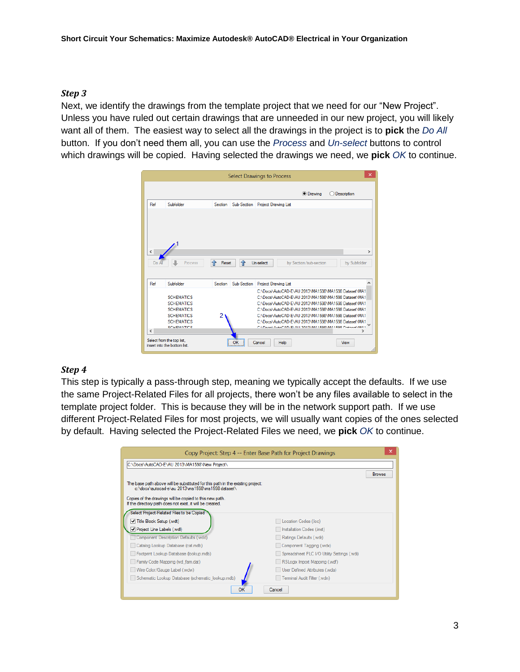#### *Step 3*

Next, we identify the drawings from the template project that we need for our "New Project". Unless you have ruled out certain drawings that are unneeded in our new project, you will likely want all of them. The easiest way to select all the drawings in the project is to **pick** the *Do All* button. If you don't need them all, you can use the *Process* and *Un-select* buttons to control which drawings will be copied. Having selected the drawings we need, we **pick** *OK* to continue.

| $\times$<br><b>Select Drawings to Process</b> |                                                                                                                            |                        |                                                                                                                                                                                                                                                                                                                                                                                               |               |  |
|-----------------------------------------------|----------------------------------------------------------------------------------------------------------------------------|------------------------|-----------------------------------------------------------------------------------------------------------------------------------------------------------------------------------------------------------------------------------------------------------------------------------------------------------------------------------------------------------------------------------------------|---------------|--|
|                                               |                                                                                                                            |                        | <b>O</b> Drawing<br>Description                                                                                                                                                                                                                                                                                                                                                               |               |  |
| Ref                                           | Subfolder                                                                                                                  | Section                | Sub-Section Project Drawing List                                                                                                                                                                                                                                                                                                                                                              |               |  |
| $\overline{\phantom{a}}$<br>Do A              | Process                                                                                                                    | 全<br>企<br>Reset        | Un-select<br>by Section/sub-section<br>by Subfolder                                                                                                                                                                                                                                                                                                                                           | $\rightarrow$ |  |
| Ref                                           | Subfolder                                                                                                                  | Sub-Section<br>Section | <b>Project Drawing List</b>                                                                                                                                                                                                                                                                                                                                                                   |               |  |
| $\overline{\phantom{a}}$                      | <b>SCHEMATICS</b><br><b>SCHEMATICS</b><br><b>SCHEMATICS</b><br><b>SCHEMATICS</b><br><b>SCHEMATICS</b><br><b>COUCMATICC</b> | 2                      | C:\Docs\AutoCAD-E\AU 2013\MA1598\MA1598 Dataset\MA1<br>C:\Docs\AutoCAD-E\AU 2013\MA1598\MA1598 Dataset\MA1<br>C:\Docs\AutoCAD-E\AU 2013\MA1598\MA1598 Dataset\MA1<br>C:\Docs\AutoCAD-E\AU 2013\MA1598\MA1598 Dataset\MA1<br>C:\Docs\AutoCAD-E\AU 2013\MA1598\MA1598 Dataset\MA1<br>C:\Docs\AutoCAD-E\AU 2013\MA1598\MA1598 Dataset\MA1<br>CADoon AutoCAD EVALL 2012 MA1500 MA1500 Detroit MA1 |               |  |
|                                               | Select from the top list.<br>insert into the bottom list.                                                                  | ок                     | Help<br>View<br>Cancel                                                                                                                                                                                                                                                                                                                                                                        |               |  |

#### *Step 4*

This step is typically a pass-through step, meaning we typically accept the defaults. If we use the same Project-Related Files for all projects, there won't be any files available to select in the template project folder. This is because they will be in the network support path. If we use different Project-Related Files for most projects, we will usually want copies of the ones selected by default. Having selected the Project-Related Files we need, we **pick** *OK* to continue.

| Copy Project: Step 4 -- Enter Base Path for Project Drawings                                                                       |                                             | ×.            |
|------------------------------------------------------------------------------------------------------------------------------------|---------------------------------------------|---------------|
| C:\Docs\AutoCAD-E\AU 2013\MA1598\New Project\                                                                                      |                                             |               |
|                                                                                                                                    |                                             | <b>Browse</b> |
| The base path above will be substituted for this path in the existing project:<br>c:\docs\autocad-e\au 2013\ma1598\ma1598 dataset\ |                                             |               |
| Copies of the drawings will be copied to this new path.<br>If the directory path does not exist, it will be created.               |                                             |               |
| Select Project-Related Files to be Copied                                                                                          |                                             |               |
| Title Block Setup (.wdt)                                                                                                           | Location Codes (Joc)                        |               |
| ✔ Project Line Labels (.wdl)                                                                                                       | Installation Codes (.inst)                  |               |
| Component Description Defaults (.wdd)                                                                                              | Ratings Defaults (.wdr)                     |               |
| Catalog Lookup Database (cat.mdb)                                                                                                  | Component Tagging (.wdx)                    |               |
| Footprint Lookup Database (lookup.mdb)                                                                                             | Spreadsheet PLC I/O Utility Settings (.wdi) |               |
| Family Code Mapping (wd fam.dat)                                                                                                   | RSLogix Import Mapping (.wdf)               |               |
| Wire Color/Gauge Label (.wdw)                                                                                                      | User Defined Attributes (.wda)              |               |
| Schematic Lookup Database (schematic lookup.mdb)                                                                                   | Terminal Audit Filter (wdn)                 |               |
| OK                                                                                                                                 | Cancel                                      |               |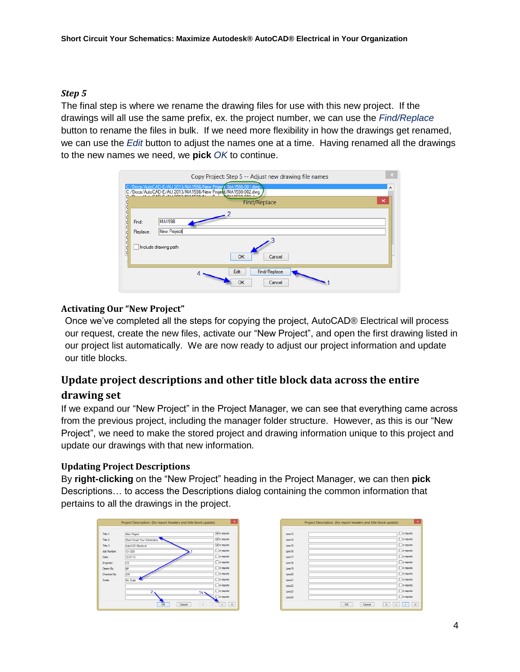#### *Step 5*

The final step is where we rename the drawing files for use with this new project. If the drawings will all use the same prefix, ex. the project number, we can use the *Find/Replace* button to rename the files in bulk. If we need more flexibility in how the drawings get renamed, we can use the *Edit* button to adjust the names one at a time. Having renamed all the drawings to the new names we need, we **pick** *OK* to continue.

|                   | $\boldsymbol{\times}$<br>Copy Project: Step 5 -- Adjust new drawing file names                                                                       |  |
|-------------------|------------------------------------------------------------------------------------------------------------------------------------------------------|--|
|                   | C:/Docs/AutoCAD-E/AU 2013/MA1598/New Project/MA1598-001.dwg<br>۸<br>C:/Docs/AutoCAD-E/AU 2013/MA1598/New Project/MA1598-002.dwg<br>×<br>Find/Replace |  |
| Find:<br>Replace: | <b>MA1598</b><br>New Project<br>Include drawing path<br><b>OK</b><br>Cancel                                                                          |  |
|                   | Edit<br>Find/Replace<br>OK<br>Cancel                                                                                                                 |  |

#### **Activating Our "New Project"**

Once we've completed all the steps for copying the project, AutoCAD® Electrical will process our request, create the new files, activate our "New Project", and open the first drawing listed in our project list automatically. We are now ready to adjust our project information and update our title blocks.

# **Update project descriptions and other title block data across the entire drawing set**

If we expand our "New Project" in the Project Manager, we can see that everything came across from the previous project, including the manager folder structure. However, as this is our "New Project", we need to make the stored project and drawing information unique to this project and update our drawings with that new information.

## **Updating Project Descriptions**

By **right-clicking** on the "New Project" heading in the Project Manager, we can then **pick** Descriptions… to access the Descriptions dialog containing the common information that pertains to all the drawings in the project.



|                    | Project Description (for report headers and title block update) | $\pmb{\times}$  |
|--------------------|-----------------------------------------------------------------|-----------------|
|                    |                                                                 |                 |
| line13             |                                                                 | in reports      |
| line14             |                                                                 | in reports      |
| line15             |                                                                 | in reports      |
| line16             |                                                                 | in reports      |
| line17             |                                                                 | in reports      |
| Line 18            |                                                                 | in reports      |
| Line 19            |                                                                 | in reports      |
| Line20             |                                                                 | in reports<br>ш |
| Line21             |                                                                 | in reports<br>ш |
| line22             |                                                                 | in reports      |
| line <sub>23</sub> |                                                                 | In reports      |
| line24             |                                                                 | in reports      |
|                    | OK<br>Cancel<br>$\mathbf k$                                     | ×,              |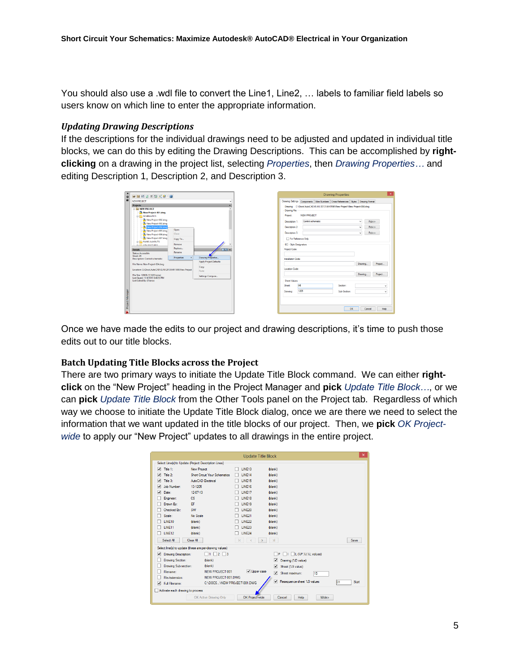You should also use a .wdl file to convert the Line1, Line2, ... labels to familiar field labels so users know on which line to enter the appropriate information.

#### *Updating Drawing Descriptions*

If the descriptions for the individual drawings need to be adjusted and updated in individual title blocks, we can do this by editing the Drawing Descriptions. This can be accomplished by **rightclicking** on a drawing in the project list, selecting *Properties*, then *Drawing Properties…* and editing Description 1, Description 2, and Description 3.

| $\mathbf x$<br><b>D</b> | @ B B B 3 X B 3 9 2                                    |                 |                               |
|-------------------------|--------------------------------------------------------|-----------------|-------------------------------|
| 國                       | <b>NEW PROJECT</b>                                     |                 |                               |
|                         | <b>Projects</b>                                        |                 |                               |
|                         | <b>E-NEW PROJECT</b>                                   |                 |                               |
|                         | New Project-001.dwg                                    |                 |                               |
|                         | <b>SCHEMATICS</b><br><b>GRE</b>                        |                 |                               |
|                         | Mew Project-002.dwg                                    |                 |                               |
|                         | Mi New Project-003.dwg                                 |                 |                               |
|                         | New Project-004.dwg                                    |                 |                               |
|                         | New Project-005.dwg                                    | Open            |                               |
|                         | New Project-006.dwg                                    | Close           |                               |
|                         | New Project-007.dwg                                    | Copy To         |                               |
|                         | <b>PANEL LAYOUTS</b>                                   |                 |                               |
|                         | <b>CONTRACTOR</b>                                      | Remove          |                               |
|                         | <b>Details</b>                                         | Replace         |                               |
|                         | Status: Accessible                                     | Rename          |                               |
|                         | Sheet: 04                                              | Properties<br>٠ | <b>Drawing Properties</b>     |
|                         | <b>Description: Control schematic</b>                  |                 | <b>Apply Project Defaults</b> |
|                         | File Name: New Project-004.dwg                         |                 |                               |
|                         |                                                        |                 | Copy                          |
|                         | Location: C/\Docs\AutoCAD-E\AU 2013\MA1598\New Project |                 | <b>Pacte</b>                  |
|                         | File Size: 128KB (131626 bytes)                        |                 | Settings Compare              |
|                         | Last Saved: 11/4/2013 3:46:53 PM                       |                 |                               |
|                         | Last Edited By: EFrance                                |                 |                               |
|                         |                                                        |                 |                               |
|                         |                                                        |                 |                               |
|                         |                                                        |                 |                               |
|                         |                                                        |                 |                               |
| Project Manager         |                                                        |                 |                               |
|                         |                                                        |                 |                               |
|                         |                                                        |                 |                               |
|                         |                                                        |                 |                               |

|                                                      |                    | <b>Drawing Properties</b>                                                               |                    |                    |
|------------------------------------------------------|--------------------|-----------------------------------------------------------------------------------------|--------------------|--------------------|
|                                                      |                    | Drawing Settings Components   Wire Numbers   Cross-References   Styles   Drawing Format |                    |                    |
|                                                      |                    | Drawing: C:\Docs\AutoCAD-E\AU 2013\MA1598\New Project\New Project-004.dwg               |                    |                    |
| <b>Drawing File</b>                                  |                    |                                                                                         |                    |                    |
| Project:                                             | <b>NEW PROJECT</b> |                                                                                         |                    |                    |
| Description 1:                                       | Control schematic  |                                                                                         | $\checkmark$       | Pickob             |
| Description 2:                                       |                    |                                                                                         |                    | Pickob             |
| Description 3:                                       |                    |                                                                                         |                    | Pickob             |
| For Reference Only                                   |                    |                                                                                         |                    |                    |
| Installation Code:<br>Location Code:<br>Sheet Values |                    |                                                                                         | Drawing<br>Drawing | Project<br>Project |
| Sheet:                                               | 04                 | Section:                                                                                |                    | v                  |
| Drawing:                                             | 1205               | Sub-Section:                                                                            |                    | $\checkmark$       |
|                                                      |                    |                                                                                         |                    |                    |

Once we have made the edits to our project and drawing descriptions, it's time to push those edits out to our title blocks.

#### **Batch Updating Title Blocks across the Project**

There are two primary ways to initiate the Update Title Block command. We can either **rightclick** on the "New Project" heading in the Project Manager and **pick** *Update Title Block…*, or we can **pick** *Update Title Block* from the Other Tools panel on the Project tab. Regardless of which way we choose to initiate the Update Title Block dialog, once we are there we need to select the information that we want updated in the title blocks of our project. Then, we **pick** *OK Projectwide* to apply our "New Project" updates to all drawings in the entire project.

|                                     |                                                         | <b>Update Title Block</b>     |                                           | $\pmb{\times}$          |
|-------------------------------------|---------------------------------------------------------|-------------------------------|-------------------------------------------|-------------------------|
|                                     | Select Line(s) to Update (Project Description Lines)    |                               |                                           |                         |
|                                     |                                                         |                               |                                           |                         |
| $\overline{\mathbf{v}}$<br>Title 1: | <b>New Project</b>                                      | LINE13                        | (blank)                                   |                         |
| ⊽<br>Title 2:                       | <b>Short Circuit Your Schematics</b>                    | LINE14                        | (blank)                                   |                         |
| Title 3:<br>⊽                       | AutoCAD Electrical                                      | <b>IINF15</b>                 | (blank)                                   |                         |
| Job Number:<br>⊽                    | 13-1205                                                 | <b>I INF16</b>                | (blank)                                   |                         |
| ⊽<br>Date:                          | 12-07-13                                                | LINE17                        | (blank)                                   |                         |
| Engineer:                           | CS.                                                     | <b>IINF18</b>                 | (blank)                                   |                         |
| Drawn By:                           | FF                                                      | <b>IINF19</b>                 | (blank)                                   |                         |
| Checked By:                         | SW                                                      | LINE20                        | (blank)                                   |                         |
| Scale:                              | No Scale                                                | <b>LINE21</b>                 | (blank)                                   |                         |
| <b>IINF10</b>                       | (blank)                                                 | <b>IINF22</b>                 | (blank)                                   |                         |
| LINE11                              | (blank)                                                 | LINE23                        | (blank)                                   |                         |
| LINE12                              | (blank)                                                 | <b>LINE24</b>                 | (blank)                                   |                         |
| Select All                          | Clear All                                               | k<br>$\overline{\phantom{a}}$ | $\overline{\mathbf{S}}$                   | Save                    |
|                                     | Select line(s) to update (these are per-drawing values) |                               |                                           |                         |
| V<br>Drawing Description:           | $\Box$ 1 $\Box$ 2 $\Box$ 3                              |                               | $\Box$   $\Box$ L (%P.%I.%L values)<br>⊣₽ |                         |
| Drawing Section:                    | (blank)                                                 |                               | ▿<br>Drawing (%D value)                   |                         |
| Drawing Sub-section:                | (blank)                                                 |                               | ▿<br>Sheet (%S value)                     |                         |
| Filename:                           | NEW PROJECT-001                                         | V Upper case                  | 罓<br>Sheet maximum:<br>15                 |                         |
| File/extension:                     | NEW PROJECT-001 DWG                                     |                               |                                           |                         |
| ▽<br><b>Full Filename:</b>          | C:\DOCS\NEW PROJECT-001.DWG                             |                               | Resequence sheet %S values<br>☑           | n <sub>1</sub><br>Start |
| Activate each drawing to process    |                                                         |                               |                                           |                         |
|                                     | OK Active Drawing Only                                  | OK Project-wide               | Wide><br>Cancel<br>Help                   |                         |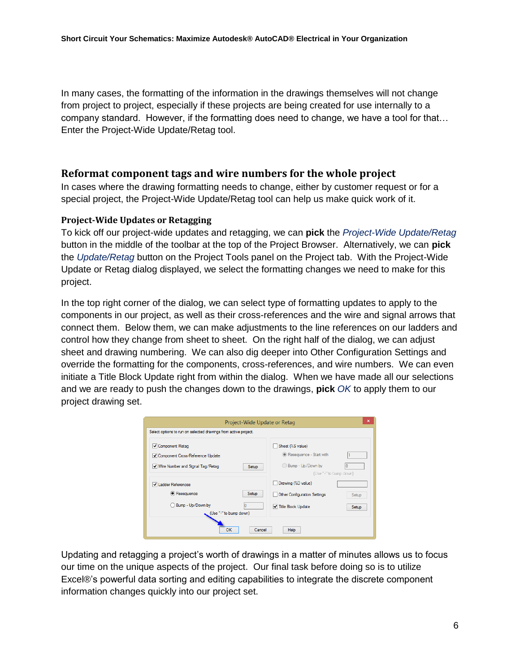In many cases, the formatting of the information in the drawings themselves will not change from project to project, especially if these projects are being created for use internally to a company standard. However, if the formatting does need to change, we have a tool for that… Enter the Project-Wide Update/Retag tool.

#### **Reformat component tags and wire numbers for the whole project**

In cases where the drawing formatting needs to change, either by customer request or for a special project, the Project-Wide Update/Retag tool can help us make quick work of it.

#### **Project-Wide Updates or Retagging**

To kick off our project-wide updates and retagging, we can **pick** the *Project-Wide Update/Retag* button in the middle of the toolbar at the top of the Project Browser. Alternatively, we can **pick** the *Update/Retag* button on the Project Tools panel on the Project tab. With the Project-Wide Update or Retag dialog displayed, we select the formatting changes we need to make for this project.

In the top right corner of the dialog, we can select type of formatting updates to apply to the components in our project, as well as their cross-references and the wire and signal arrows that connect them. Below them, we can make adjustments to the line references on our ladders and control how they change from sheet to sheet. On the right half of the dialog, we can adjust sheet and drawing numbering. We can also dig deeper into Other Configuration Settings and override the formatting for the components, cross-references, and wire numbers. We can even initiate a Title Block Update right from within the dialog. When we have made all our selections and we are ready to push the changes down to the drawings, **pick** *OK* to apply them to our project drawing set.

|                                                                 | $\times$<br>Project-Wide Update or Retag |
|-----------------------------------------------------------------|------------------------------------------|
| Select options to run on selected drawings from active project. |                                          |
| Component Retag                                                 | Sheet (%S value)                         |
| Component Cross-Reference Update                                | Resequence - Start with                  |
| Wire Number and Signal Tag/Retag<br>Setup                       | Bump - Up/Down by                        |
|                                                                 | (Use "-" to bump down)                   |
| I Ladder References                                             | Drawing (%D value)                       |
| Resequence<br>Setup                                             | Other Configuration Settings<br>Setup    |
| Bump - Up/Down by                                               | Title Block Update<br><b>Setup</b>       |
| (Use "-" to bump down)                                          |                                          |
| ок                                                              | Help<br>Cancel                           |

Updating and retagging a project's worth of drawings in a matter of minutes allows us to focus our time on the unique aspects of the project. Our final task before doing so is to utilize Excel®'s powerful data sorting and editing capabilities to integrate the discrete component information changes quickly into our project set.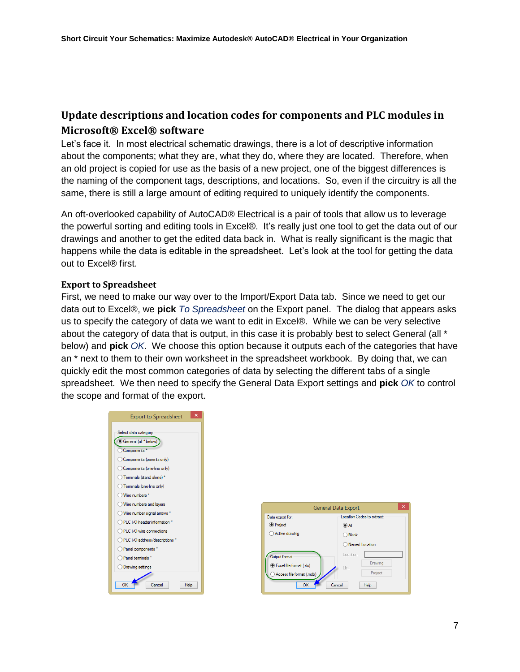# **Update descriptions and location codes for components and PLC modules in Microsoft® Excel® software**

Let's face it. In most electrical schematic drawings, there is a lot of descriptive information about the components; what they are, what they do, where they are located. Therefore, when an old project is copied for use as the basis of a new project, one of the biggest differences is the naming of the component tags, descriptions, and locations. So, even if the circuitry is all the same, there is still a large amount of editing required to uniquely identify the components.

An oft-overlooked capability of AutoCAD® Electrical is a pair of tools that allow us to leverage the powerful sorting and editing tools in Excel®. It's really just one tool to get the data out of our drawings and another to get the edited data back in. What is really significant is the magic that happens while the data is editable in the spreadsheet. Let's look at the tool for getting the data out to Excel® first.

#### **Export to Spreadsheet**

First, we need to make our way over to the Import/Export Data tab. Since we need to get our data out to Excel®, we **pick** *To Spreadsheet* on the Export panel. The dialog that appears asks us to specify the category of data we want to edit in Excel®. While we can be very selective about the category of data that is output, in this case it is probably best to select General (all \* below) and **pick** *OK*. We choose this option because it outputs each of the categories that have an \* next to them to their own worksheet in the spreadsheet workbook. By doing that, we can quickly edit the most common categories of data by selecting the different tabs of a single spreadsheet. We then need to specify the General Data Export settings and **pick** *OK* to control the scope and format of the export.

| ×<br><b>Export to Spreadsheet</b> |
|-----------------------------------|
|                                   |
| Select data category              |
| General (all *below)              |
| C Components <sup>*</sup>         |
| Components (parents only)         |
| Components (one-line only)        |
| ◯ Teminals (stand alone) *        |
| ◯ Teminals (one-line only)        |
| Wire numbers *                    |
| Wire numbers and layers           |
| O Wire number signal arrows *     |
| O PLC I/O header information *    |
| ◯ PLC I/O wire connections        |
| ◯ PLC I/O address/descriptions *  |
| ◯ Panel components *              |
| ○ Panel terminals *               |
| O Drawing settings                |
|                                   |
| OK<br>Help<br>Cancel              |

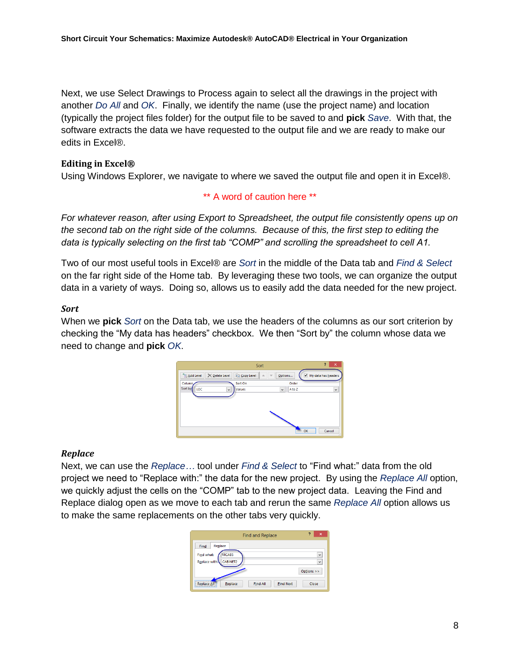Next, we use Select Drawings to Process again to select all the drawings in the project with another *Do All* and *OK*. Finally, we identify the name (use the project name) and location (typically the project files folder) for the output file to be saved to and **pick** *Save*. With that, the software extracts the data we have requested to the output file and we are ready to make our edits in Excel®.

#### **Editing in Excel®**

Using Windows Explorer, we navigate to where we saved the output file and open it in Excel®.

#### \*\* A word of caution here \*\*

*For whatever reason, after using Export to Spreadsheet, the output file consistently opens up on the second tab on the right side of the columns. Because of this, the first step to editing the data is typically selecting on the first tab "COMP" and scrolling the spreadsheet to cell A1.*

Two of our most useful tools in Excel® are *Sort* in the middle of the Data tab and *Find & Select*  on the far right side of the Home tab. By leveraging these two tools, we can organize the output data in a variety of ways. Doing so, allows us to easily add the data needed for the new project.

#### *Sort*

When we **pick** *Sort* on the Data tab, we use the headers of the columns as our sort criterion by checking the "My data has headers" checkbox. We then "Sort by" the column whose data we need to change and **pick** *OK*.



#### *Replace*

Next, we can use the *Replace…* tool under *Find & Select* to "Find what:" data from the old project we need to "Replace with:" the data for the new project. By using the *Replace All* option, we quickly adjust the cells on the "COMP" tab to the new project data. Leaving the Find and Replace dialog open as we move to each tab and rerun the same *Replace All* option allows us to make the same replacements on the other tabs very quickly.

| ?<br>$\boldsymbol{\mathsf{x}}$<br><b>Find and Replace</b>                                           |
|-----------------------------------------------------------------------------------------------------|
| Replace<br>Find<br>MCAB5<br>Find what:<br>$\checkmark$<br>Replace with:<br>CABINET2<br>$\checkmark$ |
| Options >><br><b>Find All</b><br><b>Find Next</b><br>Close<br>Replace<br><b>Replace Al</b>          |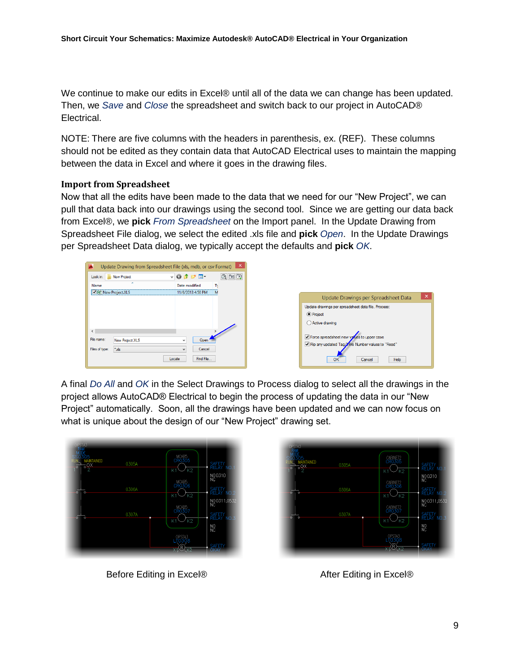We continue to make our edits in Excel® until all of the data we can change has been updated. Then, we *Save* and *Close* the spreadsheet and switch back to our project in AutoCAD® Electrical.

NOTE: There are five columns with the headers in parenthesis, ex. (REF). These columns should not be edited as they contain data that AutoCAD Electrical uses to maintain the mapping between the data in Excel and where it goes in the drawing files.

#### **Import from Spreadsheet**

Now that all the edits have been made to the data that we need for our "New Project", we can pull that data back into our drawings using the second tool. Since we are getting our data back from Excel®, we **pick** *From Spreadsheet* on the Import panel. In the Update Drawing from Spreadsheet File dialog, we select the edited .xls file and **pick** *Open*. In the Update Drawings per Spreadsheet Data dialog, we typically accept the defaults and **pick** *OK*.



| Update Drawings per Spreadsheet Data                                                                                         | × |
|------------------------------------------------------------------------------------------------------------------------------|---|
| Update drawings per spreadsheet data file. Process:                                                                          |   |
| <b>O</b> Project                                                                                                             |   |
| ◯ Active drawing                                                                                                             |   |
| √ Force spreadsheet new values to upper case<br>√ Flip any updated Tag Wire Number values to "Fixed"<br>ΩK<br>Cancel<br>Help |   |

A final *Do All* and *OK* in the Select Drawings to Process dialog to select all the drawings in the project allows AutoCAD® Electrical to begin the process of updating the data in our "New Project" automatically. Soon, all the drawings have been updated and we can now focus on what is unique about the design of our "New Project" drawing set.



Before Editing in Excel® After Editing in Excel®